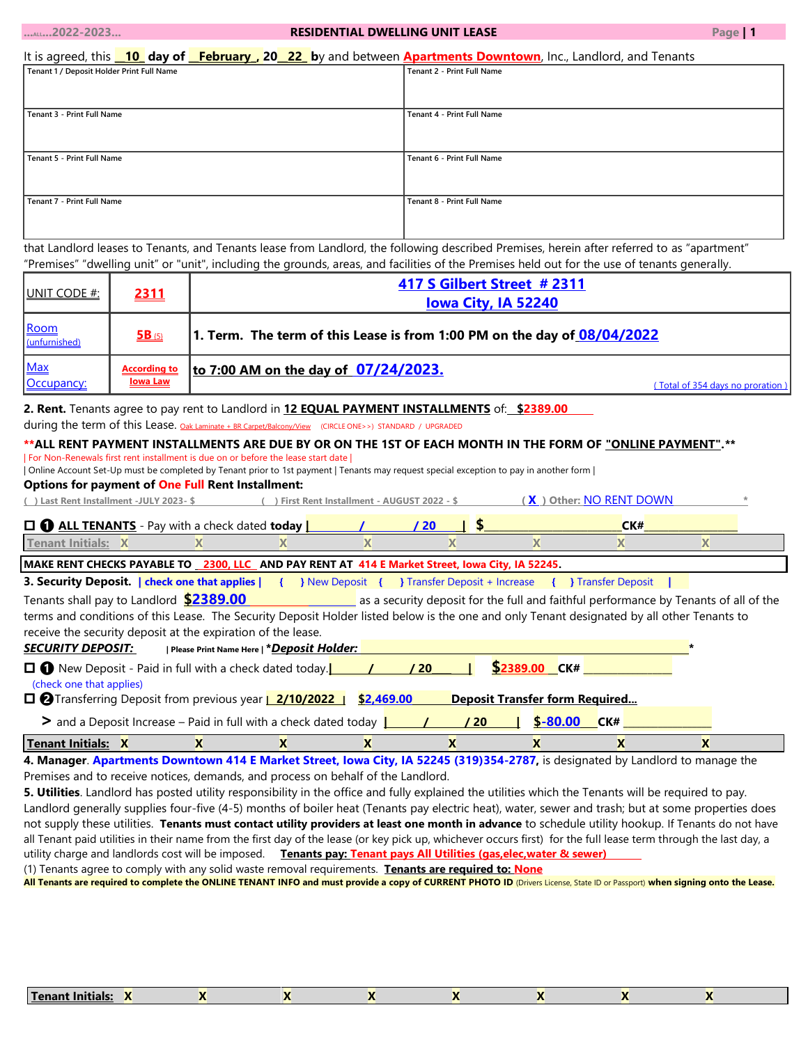| $$ 2022-2023                                                                                                      |            |                                                                                                                                                                                                            | <b>RESIDENTIAL DWELLING UNIT LEASE</b> |                                   |                     |                                                                                      | Page   1                         |  |  |
|-------------------------------------------------------------------------------------------------------------------|------------|------------------------------------------------------------------------------------------------------------------------------------------------------------------------------------------------------------|----------------------------------------|-----------------------------------|---------------------|--------------------------------------------------------------------------------------|----------------------------------|--|--|
|                                                                                                                   |            | It is agreed, this 10 day of <b>February, 20 22</b> by and between <b>Apartments Downtown</b> , Inc., Landlord, and Tenants                                                                                |                                        |                                   |                     |                                                                                      |                                  |  |  |
| Tenant 1 / Deposit Holder Print Full Name                                                                         |            |                                                                                                                                                                                                            |                                        | <b>Tenant 2 - Print Full Name</b> |                     |                                                                                      |                                  |  |  |
|                                                                                                                   |            |                                                                                                                                                                                                            |                                        |                                   |                     |                                                                                      |                                  |  |  |
| Tenant 3 - Print Full Name                                                                                        |            |                                                                                                                                                                                                            |                                        | Tenant 4 - Print Full Name        |                     |                                                                                      |                                  |  |  |
|                                                                                                                   |            |                                                                                                                                                                                                            |                                        |                                   |                     |                                                                                      |                                  |  |  |
|                                                                                                                   |            |                                                                                                                                                                                                            |                                        |                                   |                     |                                                                                      |                                  |  |  |
| Tenant 5 - Print Full Name<br>Tenant 6 - Print Full Name                                                          |            |                                                                                                                                                                                                            |                                        |                                   |                     |                                                                                      |                                  |  |  |
|                                                                                                                   |            |                                                                                                                                                                                                            |                                        |                                   |                     |                                                                                      |                                  |  |  |
| Tenant 7 - Print Full Name<br>Tenant 8 - Print Full Name                                                          |            |                                                                                                                                                                                                            |                                        |                                   |                     |                                                                                      |                                  |  |  |
|                                                                                                                   |            |                                                                                                                                                                                                            |                                        |                                   |                     |                                                                                      |                                  |  |  |
|                                                                                                                   |            | that Landlord leases to Tenants, and Tenants lease from Landlord, the following described Premises, herein after referred to as "apartment"                                                                |                                        |                                   |                     |                                                                                      |                                  |  |  |
|                                                                                                                   |            | "Premises" "dwelling unit" or "unit", including the grounds, areas, and facilities of the Premises held out for the use of tenants generally.                                                              |                                        |                                   |                     |                                                                                      |                                  |  |  |
|                                                                                                                   |            |                                                                                                                                                                                                            |                                        | 417 S Gilbert Street #2311        |                     |                                                                                      |                                  |  |  |
| <u>UNIT CODE #:</u>                                                                                               | 2311       |                                                                                                                                                                                                            |                                        |                                   | lowa City, IA 52240 |                                                                                      |                                  |  |  |
|                                                                                                                   |            |                                                                                                                                                                                                            |                                        |                                   |                     |                                                                                      |                                  |  |  |
| <b>Room</b><br>(unfurnished)                                                                                      | $5B_{(5)}$ | 1. Term. The term of this Lease is from 1:00 PM on the day of 08/04/2022                                                                                                                                   |                                        |                                   |                     |                                                                                      |                                  |  |  |
| <b>Max</b><br>to 7:00 AM on the day of 07/24/2023.<br><b>According to</b><br><b>lowa Law</b><br><u>Occupancy:</u> |            |                                                                                                                                                                                                            |                                        |                                   |                     |                                                                                      |                                  |  |  |
|                                                                                                                   |            |                                                                                                                                                                                                            |                                        |                                   |                     |                                                                                      | (Total of 354 days no proration) |  |  |
|                                                                                                                   |            | 2. Rent. Tenants agree to pay rent to Landlord in 12 EQUAL PAYMENT INSTALLMENTS of: \$2389.00                                                                                                              |                                        |                                   |                     |                                                                                      |                                  |  |  |
|                                                                                                                   |            | during the term of this Lease. Oak Laminate + BR Carpet/Balcony/View (CIRCLE ONE>>) STANDARD / UPGRADED                                                                                                    |                                        |                                   |                     |                                                                                      |                                  |  |  |
|                                                                                                                   |            | ** ALL RENT PAYMENT INSTALLMENTS ARE DUE BY OR ON THE 1ST OF EACH MONTH IN THE FORM OF "ONLINE PAYMENT". **<br>  For Non-Renewals first rent installment is due on or before the lease start date          |                                        |                                   |                     |                                                                                      |                                  |  |  |
|                                                                                                                   |            | Online Account Set-Up must be completed by Tenant prior to 1st payment   Tenants may request special exception to pay in another form                                                                      |                                        |                                   |                     |                                                                                      |                                  |  |  |
|                                                                                                                   |            | <b>Options for payment of One Full Rent Installment:</b>                                                                                                                                                   |                                        |                                   |                     |                                                                                      |                                  |  |  |
| (X) Other: NO RENT DOWN<br>() Last Rent Installment -JULY 2023-\$<br>() First Rent Installment - AUGUST 2022 - \$ |            |                                                                                                                                                                                                            |                                        |                                   |                     |                                                                                      |                                  |  |  |
|                                                                                                                   |            | $\Box$ $\bigcirc$ ALL TENANTS - Pay with a check dated today $\mathbf 1$                                                                                                                                   |                                        | /20                               |                     | CK#                                                                                  |                                  |  |  |
| $\overline{\mathbf{x}}$<br>$\overline{\mathbf{x}}$<br><b>Tenant Initials: X</b><br>X<br>X<br>X<br>X<br>X          |            |                                                                                                                                                                                                            |                                        |                                   |                     |                                                                                      |                                  |  |  |
| MAKE RENT CHECKS PAYABLE TO _2300, LLC_ AND PAY RENT AT 414 E Market Street, lowa City, IA 52245.                 |            |                                                                                                                                                                                                            |                                        |                                   |                     |                                                                                      |                                  |  |  |
|                                                                                                                   |            | 3. Security Deposit.   check one that applies   { } New Deposit { } Transfer Deposit + Increase { } Transfer Deposit                                                                                       |                                        |                                   |                     |                                                                                      |                                  |  |  |
| Tenants shall pay to Landlord <b>\$2389.00</b>                                                                    |            |                                                                                                                                                                                                            |                                        |                                   |                     | as a security deposit for the full and faithful performance by Tenants of all of the |                                  |  |  |
|                                                                                                                   |            | terms and conditions of this Lease. The Security Deposit Holder listed below is the one and only Tenant designated by all other Tenants to<br>receive the security deposit at the expiration of the lease. |                                        |                                   |                     |                                                                                      |                                  |  |  |
| <b>SECURITY DEPOSIT:</b>                                                                                          |            | Please Print Name Here   *Deposit Holder:                                                                                                                                                                  |                                        |                                   |                     |                                                                                      |                                  |  |  |
|                                                                                                                   |            | $\Box$ New Deposit - Paid in full with a check dated today. $\Box$ / / / / 20                                                                                                                              |                                        |                                   |                     | <u>\$2389.00 CK# _______________</u>                                                 |                                  |  |  |
| (check one that applies)                                                                                          |            |                                                                                                                                                                                                            |                                        |                                   |                     |                                                                                      |                                  |  |  |
|                                                                                                                   |            | □ <b>②</b> Transferring Deposit from previous year <b>2/10/2022</b> S2,469.00                                                                                                                              |                                        |                                   |                     | <b>Deposit Transfer form Required</b>                                                |                                  |  |  |

 **>** and a Deposit Increase – Paid in full with a check dated today  $\begin{bmatrix} 1 & 1 \\ 1 & 1 \end{bmatrix}$  **20**  $\begin{bmatrix} 1 & 1 \\ 1 & 1 \end{bmatrix}$  **\$-80.00 CK#** 

| <b>Tenant Initials:</b>                                                                                                         |  |  |  |  |  |  |  |  |  |
|---------------------------------------------------------------------------------------------------------------------------------|--|--|--|--|--|--|--|--|--|
| 4. Manager. Apartments Downtown 414 E Market Street, Iowa City, IA 52245 (319)354-2787, is designated by Landlord to manage the |  |  |  |  |  |  |  |  |  |

Premises and to receive notices, demands, and process on behalf of the Landlord.

**5. Utilities**. Landlord has posted utility responsibility in the office and fully explained the utilities which the Tenants will be required to pay. Landlord generally supplies four-five (4-5) months of boiler heat (Tenants pay electric heat), water, sewer and trash; but at some properties does not supply these utilities. **Tenants must contact utility providers at least one month in advance** to schedule utility hookup. If Tenants do not have all Tenant paid utilities in their name from the first day of the lease (or key pick up, whichever occurs first) for the full lease term through the last day, a utility charge and landlords cost will be imposed. **Tenants pay: Tenant pays All Utilities (gas,elec,water & sewer)**

(1) Tenants agree to comply with any solid waste removal requirements. **Tenants are required to: None**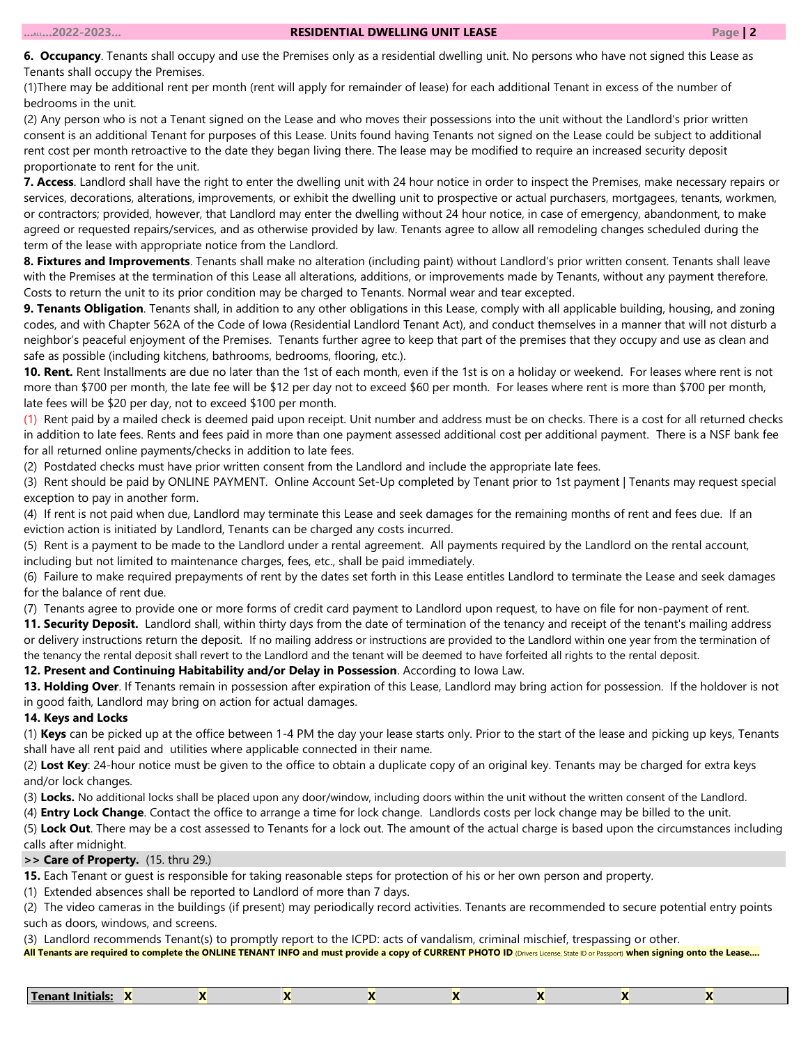**6. Occupancy**. Tenants shall occupy and use the Premises only as a residential dwelling unit. No persons who have not signed this Lease as Tenants shall occupy the Premises.

(1)There may be additional rent per month (rent will apply for remainder of lease) for each additional Tenant in excess of the number of bedrooms in the unit.

(2) Any person who is not a Tenant signed on the Lease and who moves their possessions into the unit without the Landlord's prior written consent is an additional Tenant for purposes of this Lease. Units found having Tenants not signed on the Lease could be subject to additional rent cost per month retroactive to the date they began living there. The lease may be modified to require an increased security deposit proportionate to rent for the unit.

**7. Access**. Landlord shall have the right to enter the dwelling unit with 24 hour notice in order to inspect the Premises, make necessary repairs or services, decorations, alterations, improvements, or exhibit the dwelling unit to prospective or actual purchasers, mortgagees, tenants, workmen, or contractors; provided, however, that Landlord may enter the dwelling without 24 hour notice, in case of emergency, abandonment, to make agreed or requested repairs/services, and as otherwise provided by law. Tenants agree to allow all remodeling changes scheduled during the term of the lease with appropriate notice from the Landlord.

**8. Fixtures and Improvements**. Tenants shall make no alteration (including paint) without Landlord's prior written consent. Tenants shall leave with the Premises at the termination of this Lease all alterations, additions, or improvements made by Tenants, without any payment therefore. Costs to return the unit to its prior condition may be charged to Tenants. Normal wear and tear excepted.

**9. Tenants Obligation**. Tenants shall, in addition to any other obligations in this Lease, comply with all applicable building, housing, and zoning codes, and with Chapter 562A of the Code of Iowa (Residential Landlord Tenant Act), and conduct themselves in a manner that will not disturb a neighbor's peaceful enjoyment of the Premises. Tenants further agree to keep that part of the premises that they occupy and use as clean and safe as possible (including kitchens, bathrooms, bedrooms, flooring, etc.).

**10. Rent.** Rent Installments are due no later than the 1st of each month, even if the 1st is on a holiday or weekend. For leases where rent is not more than \$700 per month, the late fee will be \$12 per day not to exceed \$60 per month. For leases where rent is more than \$700 per month, late fees will be \$20 per day, not to exceed \$100 per month.

(1) Rent paid by a mailed check is deemed paid upon receipt. Unit number and address must be on checks. There is a cost for all returned checks in addition to late fees. Rents and fees paid in more than one payment assessed additional cost per additional payment. There is a NSF bank fee for all returned online payments/checks in addition to late fees.

(2) Postdated checks must have prior written consent from the Landlord and include the appropriate late fees.

(3) Rent should be paid by ONLINE PAYMENT. Online Account Set-Up completed by Tenant prior to 1st payment | Tenants may request special exception to pay in another form.

(4) If rent is not paid when due, Landlord may terminate this Lease and seek damages for the remaining months of rent and fees due. If an eviction action is initiated by Landlord, Tenants can be charged any costs incurred.

(5) Rent is a payment to be made to the Landlord under a rental agreement. All payments required by the Landlord on the rental account, including but not limited to maintenance charges, fees, etc., shall be paid immediately.

(6) Failure to make required prepayments of rent by the dates set forth in this Lease entitles Landlord to terminate the Lease and seek damages for the balance of rent due.

(7) Tenants agree to provide one or more forms of credit card payment to Landlord upon request, to have on file for non-payment of rent.

**11. Security Deposit.** Landlord shall, within thirty days from the date of termination of the tenancy and receipt of the tenant's mailing address or delivery instructions return the deposit. If no mailing address or instructions are provided to the Landlord within one year from the termination of the tenancy the rental deposit shall revert to the Landlord and the tenant will be deemed to have forfeited all rights to the rental deposit.

**12. Present and Continuing Habitability and/or Delay in Possession**. According to Iowa Law.

**13. Holding Over**. If Tenants remain in possession after expiration of this Lease, Landlord may bring action for possession. If the holdover is not in good faith, Landlord may bring on action for actual damages.

# **14. Keys and Locks**

(1) **Keys** can be picked up at the office between 1-4 PM the day your lease starts only. Prior to the start of the lease and picking up keys, Tenants shall have all rent paid and utilities where applicable connected in their name.

(2) **Lost Key**: 24-hour notice must be given to the office to obtain a duplicate copy of an original key. Tenants may be charged for extra keys and/or lock changes.

(3) **Locks.** No additional locks shall be placed upon any door/window, including doors within the unit without the written consent of the Landlord.

(4) **Entry Lock Change**. Contact the office to arrange a time for lock change. Landlords costs per lock change may be billed to the unit.

(5) **Lock Out**. There may be a cost assessed to Tenants for a lock out. The amount of the actual charge is based upon the circumstances including calls after midnight.

#### **>> Care of Property.** (15. thru 29.)

**15.** Each Tenant or guest is responsible for taking reasonable steps for protection of his or her own person and property.

(1) Extended absences shall be reported to Landlord of more than 7 days.

(2) The video cameras in the buildings (if present) may periodically record activities. Tenants are recommended to secure potential entry points such as doors, windows, and screens.

(3) Landlord recommends Tenant(s) to promptly report to the ICPD: acts of vandalism, criminal mischief, trespassing or other.

| ∕Tenant Initials: |  |  |  |  |
|-------------------|--|--|--|--|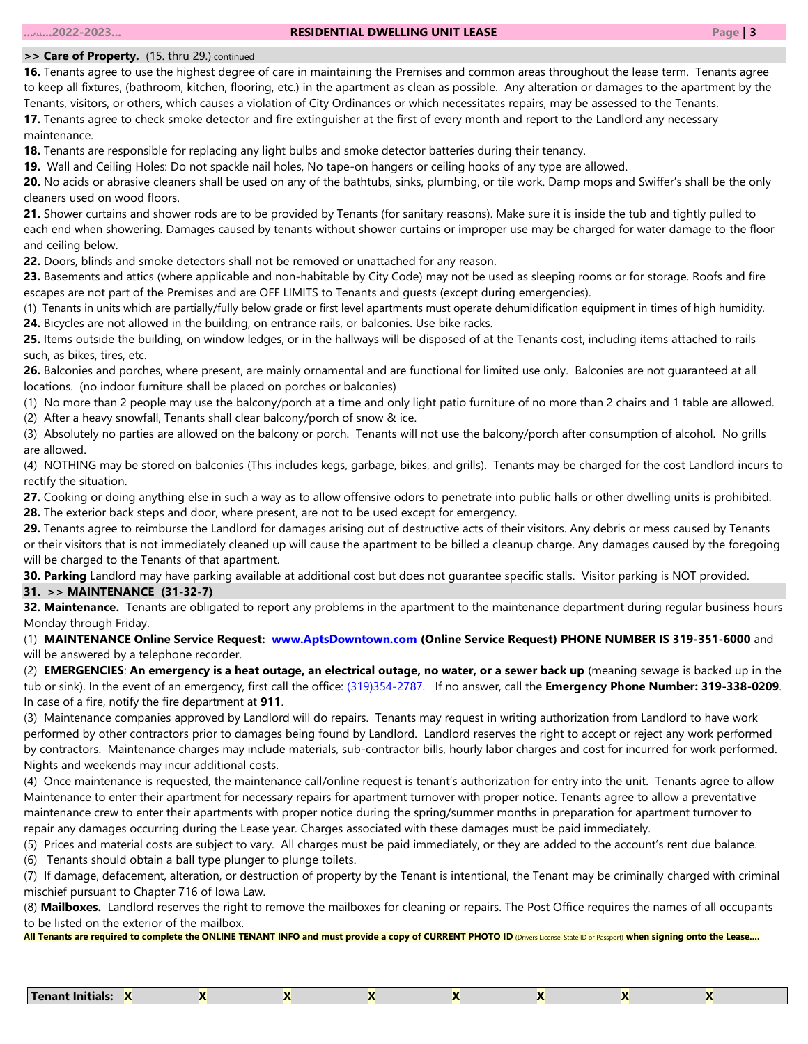#### **>> Care of Property.** (15. thru 29.) continued

**16.** Tenants agree to use the highest degree of care in maintaining the Premises and common areas throughout the lease term. Tenants agree to keep all fixtures, (bathroom, kitchen, flooring, etc.) in the apartment as clean as possible. Any alteration or damages to the apartment by the Tenants, visitors, or others, which causes a violation of City Ordinances or which necessitates repairs, may be assessed to the Tenants. **17.** Tenants agree to check smoke detector and fire extinguisher at the first of every month and report to the Landlord any necessary

maintenance.

**18.** Tenants are responsible for replacing any light bulbs and smoke detector batteries during their tenancy.

**19.** Wall and Ceiling Holes: Do not spackle nail holes, No tape-on hangers or ceiling hooks of any type are allowed.

**20.** No acids or abrasive cleaners shall be used on any of the bathtubs, sinks, plumbing, or tile work. Damp mops and Swiffer's shall be the only cleaners used on wood floors.

**21.** Shower curtains and shower rods are to be provided by Tenants (for sanitary reasons). Make sure it is inside the tub and tightly pulled to each end when showering. Damages caused by tenants without shower curtains or improper use may be charged for water damage to the floor and ceiling below.

**22.** Doors, blinds and smoke detectors shall not be removed or unattached for any reason.

**23.** Basements and attics (where applicable and non-habitable by City Code) may not be used as sleeping rooms or for storage. Roofs and fire escapes are not part of the Premises and are OFF LIMITS to Tenants and guests (except during emergencies).

(1) Tenants in units which are partially/fully below grade or first level apartments must operate dehumidification equipment in times of high humidity. **24.** Bicycles are not allowed in the building, on entrance rails, or balconies. Use bike racks.

**25.** Items outside the building, on window ledges, or in the hallways will be disposed of at the Tenants cost, including items attached to rails such, as bikes, tires, etc.

**26.** Balconies and porches, where present, are mainly ornamental and are functional for limited use only. Balconies are not guaranteed at all locations. (no indoor furniture shall be placed on porches or balconies)

(1) No more than 2 people may use the balcony/porch at a time and only light patio furniture of no more than 2 chairs and 1 table are allowed.

(2) After a heavy snowfall, Tenants shall clear balcony/porch of snow & ice.

(3) Absolutely no parties are allowed on the balcony or porch. Tenants will not use the balcony/porch after consumption of alcohol. No grills are allowed.

(4) NOTHING may be stored on balconies (This includes kegs, garbage, bikes, and grills). Tenants may be charged for the cost Landlord incurs to rectify the situation.

**27.** Cooking or doing anything else in such a way as to allow offensive odors to penetrate into public halls or other dwelling units is prohibited.

**28.** The exterior back steps and door, where present, are not to be used except for emergency.

**29.** Tenants agree to reimburse the Landlord for damages arising out of destructive acts of their visitors. Any debris or mess caused by Tenants or their visitors that is not immediately cleaned up will cause the apartment to be billed a cleanup charge. Any damages caused by the foregoing will be charged to the Tenants of that apartment.

**30. Parking** Landlord may have parking available at additional cost but does not guarantee specific stalls. Visitor parking is NOT provided.

#### **31. >> MAINTENANCE (31-32-7)**

**32. Maintenance.** Tenants are obligated to report any problems in the apartment to the maintenance department during regular business hours Monday through Friday.

(1) **MAINTENANCE Online Service Request: www.AptsDowntown.com (Online Service Request) PHONE NUMBER IS 319-351-6000** and will be answered by a telephone recorder.

(2) **EMERGENCIES**: **An emergency is a heat outage, an electrical outage, no water, or a sewer back up** (meaning sewage is backed up in the tub or sink). In the event of an emergency, first call the office: (319)354-2787. If no answer, call the **Emergency Phone Number: 319-338-0209**. In case of a fire, notify the fire department at **911**.

(3) Maintenance companies approved by Landlord will do repairs. Tenants may request in writing authorization from Landlord to have work performed by other contractors prior to damages being found by Landlord. Landlord reserves the right to accept or reject any work performed by contractors. Maintenance charges may include materials, sub-contractor bills, hourly labor charges and cost for incurred for work performed. Nights and weekends may incur additional costs.

(4) Once maintenance is requested, the maintenance call/online request is tenant's authorization for entry into the unit. Tenants agree to allow Maintenance to enter their apartment for necessary repairs for apartment turnover with proper notice. Tenants agree to allow a preventative maintenance crew to enter their apartments with proper notice during the spring/summer months in preparation for apartment turnover to repair any damages occurring during the Lease year. Charges associated with these damages must be paid immediately.

(5) Prices and material costs are subject to vary. All charges must be paid immediately, or they are added to the account's rent due balance.

(6) Tenants should obtain a ball type plunger to plunge toilets.

(7) If damage, defacement, alteration, or destruction of property by the Tenant is intentional, the Tenant may be criminally charged with criminal mischief pursuant to Chapter 716 of Iowa Law.

(8) **Mailboxes.** Landlord reserves the right to remove the mailboxes for cleaning or repairs. The Post Office requires the names of all occupants to be listed on the exterior of the mailbox.

| Tenant Initials: |  |  |  |  |  |  |  |  |
|------------------|--|--|--|--|--|--|--|--|
|------------------|--|--|--|--|--|--|--|--|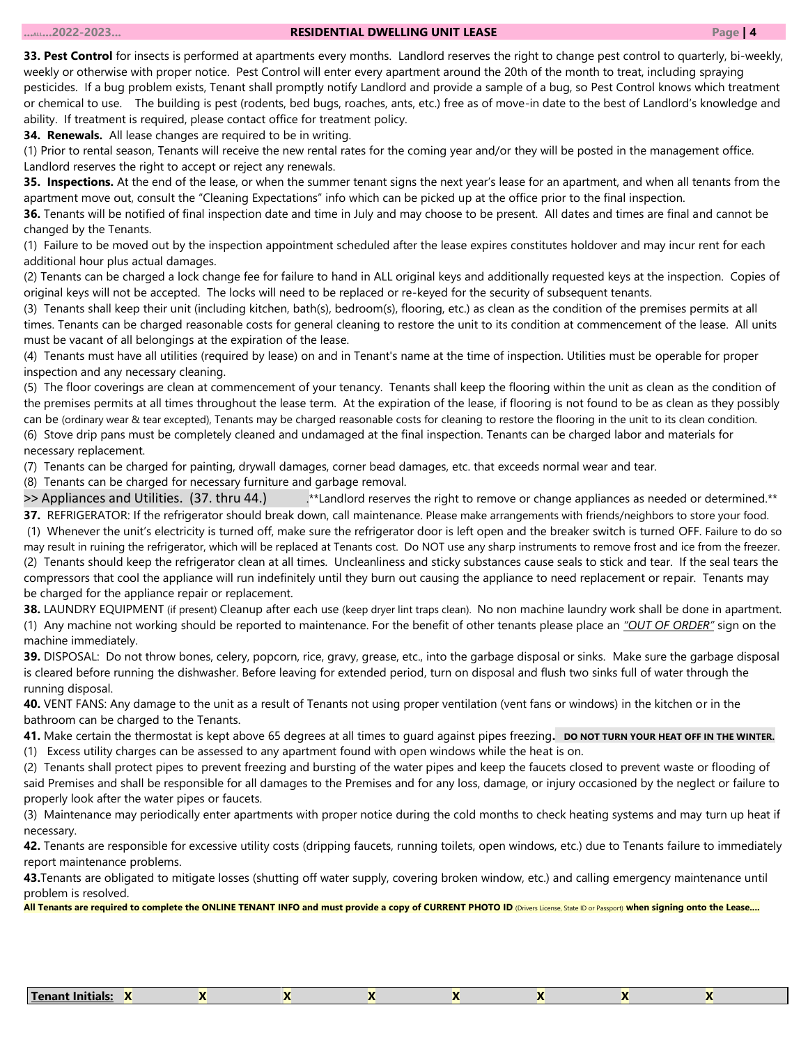#### **...ALL...2022-2023... RESIDENTIAL DWELLING UNIT LEASE Page | 4**

**33. Pest Control** for insects is performed at apartments every months. Landlord reserves the right to change pest control to quarterly, bi-weekly, weekly or otherwise with proper notice. Pest Control will enter every apartment around the 20th of the month to treat, including spraying pesticides. If a bug problem exists, Tenant shall promptly notify Landlord and provide a sample of a bug, so Pest Control knows which treatment or chemical to use. The building is pest (rodents, bed bugs, roaches, ants, etc.) free as of move-in date to the best of Landlord's knowledge and ability. If treatment is required, please contact office for treatment policy.

**34. Renewals.** All lease changes are required to be in writing.

(1) Prior to rental season, Tenants will receive the new rental rates for the coming year and/or they will be posted in the management office. Landlord reserves the right to accept or reject any renewals.

**35. Inspections.** At the end of the lease, or when the summer tenant signs the next year's lease for an apartment, and when all tenants from the apartment move out, consult the "Cleaning Expectations" info which can be picked up at the office prior to the final inspection.

**36.** Tenants will be notified of final inspection date and time in July and may choose to be present. All dates and times are final and cannot be changed by the Tenants.

(1) Failure to be moved out by the inspection appointment scheduled after the lease expires constitutes holdover and may incur rent for each additional hour plus actual damages.

(2) Tenants can be charged a lock change fee for failure to hand in ALL original keys and additionally requested keys at the inspection. Copies of original keys will not be accepted. The locks will need to be replaced or re-keyed for the security of subsequent tenants.

(3) Tenants shall keep their unit (including kitchen, bath(s), bedroom(s), flooring, etc.) as clean as the condition of the premises permits at all times. Tenants can be charged reasonable costs for general cleaning to restore the unit to its condition at commencement of the lease. All units must be vacant of all belongings at the expiration of the lease.

(4) Tenants must have all utilities (required by lease) on and in Tenant's name at the time of inspection. Utilities must be operable for proper inspection and any necessary cleaning.

(5) The floor coverings are clean at commencement of your tenancy. Tenants shall keep the flooring within the unit as clean as the condition of the premises permits at all times throughout the lease term. At the expiration of the lease, if flooring is not found to be as clean as they possibly can be (ordinary wear & tear excepted), Tenants may be charged reasonable costs for cleaning to restore the flooring in the unit to its clean condition. (6) Stove drip pans must be completely cleaned and undamaged at the final inspection. Tenants can be charged labor and materials for necessary replacement.

(7) Tenants can be charged for painting, drywall damages, corner bead damages, etc. that exceeds normal wear and tear.

(8) Tenants can be charged for necessary furniture and garbage removal.

>> Appliances and Utilities. (37. thru 44.) ... \*\*Landlord reserves the right to remove or change appliances as needed or determined.\*\* **37.** REFRIGERATOR: If the refrigerator should break down, call maintenance. Please make arrangements with friends/neighbors to store your food.

(1) Whenever the unit's electricity is turned off, make sure the refrigerator door is left open and the breaker switch is turned OFF. Failure to do so may result in ruining the refrigerator, which will be replaced at Tenants cost. Do NOT use any sharp instruments to remove frost and ice from the freezer. (2) Tenants should keep the refrigerator clean at all times. Uncleanliness and sticky substances cause seals to stick and tear. If the seal tears the compressors that cool the appliance will run indefinitely until they burn out causing the appliance to need replacement or repair. Tenants may be charged for the appliance repair or replacement.

**38.** LAUNDRY EQUIPMENT (if present) Cleanup after each use (keep dryer lint traps clean). No non machine laundry work shall be done in apartment. (1) Any machine not working should be reported to maintenance. For the benefit of other tenants please place an *"OUT OF ORDER"* sign on the machine immediately.

**39.** DISPOSAL: Do not throw bones, celery, popcorn, rice, gravy, grease, etc., into the garbage disposal or sinks. Make sure the garbage disposal is cleared before running the dishwasher. Before leaving for extended period, turn on disposal and flush two sinks full of water through the running disposal.

**40.** VENT FANS: Any damage to the unit as a result of Tenants not using proper ventilation (vent fans or windows) in the kitchen or in the bathroom can be charged to the Tenants.

**41.** Make certain the thermostat is kept above 65 degrees at all times to quard against pipes freezing. **DO NOT TURN YOUR HEAT OFF IN THE WINTER.** 

(1) Excess utility charges can be assessed to any apartment found with open windows while the heat is on.

(2) Tenants shall protect pipes to prevent freezing and bursting of the water pipes and keep the faucets closed to prevent waste or flooding of said Premises and shall be responsible for all damages to the Premises and for any loss, damage, or injury occasioned by the neglect or failure to properly look after the water pipes or faucets.

(3) Maintenance may periodically enter apartments with proper notice during the cold months to check heating systems and may turn up heat if necessary.

**42.** Tenants are responsible for excessive utility costs (dripping faucets, running toilets, open windows, etc.) due to Tenants failure to immediately report maintenance problems.

**43.**Tenants are obligated to mitigate losses (shutting off water supply, covering broken window, etc.) and calling emergency maintenance until problem is resolved.

|  | Tenant Initials: |  |  |  |  |  |  |  |
|--|------------------|--|--|--|--|--|--|--|
|--|------------------|--|--|--|--|--|--|--|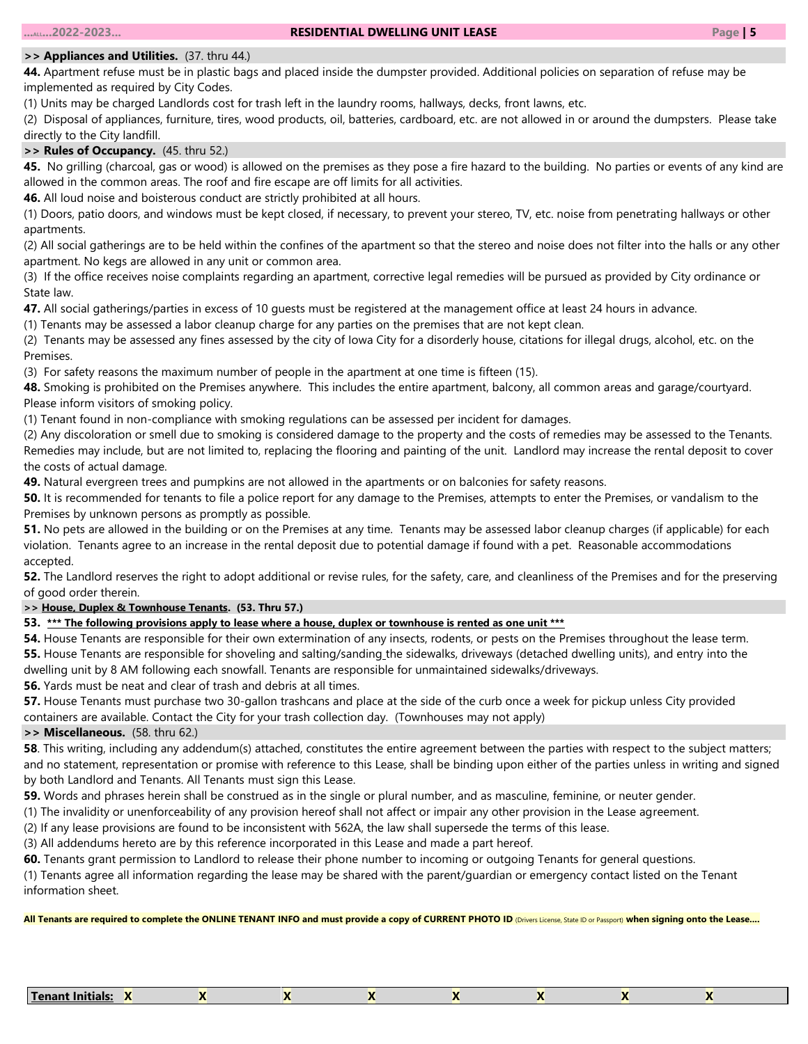# *>>* **Appliances and Utilities.**(37. thru 44.)

**44.** Apartment refuse must be in plastic bags and placed inside the dumpster provided. Additional policies on separation of refuse may be implemented as required by City Codes.

(1) Units may be charged Landlords cost for trash left in the laundry rooms, hallways, decks, front lawns, etc.

(2) Disposal of appliances, furniture, tires, wood products, oil, batteries, cardboard, etc. are not allowed in or around the dumpsters. Please take directly to the City landfill.

# **>> Rules of Occupancy.** (45. thru 52.)

**45.** No grilling (charcoal, gas or wood) is allowed on the premises as they pose a fire hazard to the building. No parties or events of any kind are allowed in the common areas. The roof and fire escape are off limits for all activities.

**46.** All loud noise and boisterous conduct are strictly prohibited at all hours.

(1) Doors, patio doors, and windows must be kept closed, if necessary, to prevent your stereo, TV, etc. noise from penetrating hallways or other apartments.

(2) All social gatherings are to be held within the confines of the apartment so that the stereo and noise does not filter into the halls or any other apartment. No kegs are allowed in any unit or common area.

(3) If the office receives noise complaints regarding an apartment, corrective legal remedies will be pursued as provided by City ordinance or State law.

**47.** All social gatherings/parties in excess of 10 guests must be registered at the management office at least 24 hours in advance.

(1) Tenants may be assessed a labor cleanup charge for any parties on the premises that are not kept clean.

(2) Tenants may be assessed any fines assessed by the city of Iowa City for a disorderly house, citations for illegal drugs, alcohol, etc. on the Premises.

(3) For safety reasons the maximum number of people in the apartment at one time is fifteen (15).

**48.** Smoking is prohibited on the Premises anywhere. This includes the entire apartment, balcony, all common areas and garage/courtyard. Please inform visitors of smoking policy.

(1) Tenant found in non-compliance with smoking regulations can be assessed per incident for damages.

(2) Any discoloration or smell due to smoking is considered damage to the property and the costs of remedies may be assessed to the Tenants. Remedies may include, but are not limited to, replacing the flooring and painting of the unit. Landlord may increase the rental deposit to cover the costs of actual damage.

**49.** Natural evergreen trees and pumpkins are not allowed in the apartments or on balconies for safety reasons.

**50.** It is recommended for tenants to file a police report for any damage to the Premises, attempts to enter the Premises, or vandalism to the Premises by unknown persons as promptly as possible.

**51.** No pets are allowed in the building or on the Premises at any time. Tenants may be assessed labor cleanup charges (if applicable) for each violation. Tenants agree to an increase in the rental deposit due to potential damage if found with a pet. Reasonable accommodations accepted.

**52.** The Landlord reserves the right to adopt additional or revise rules, for the safety, care, and cleanliness of the Premises and for the preserving of good order therein.

# **>> House, Duplex & Townhouse Tenants. (53. Thru 57.)**

# **53. \*\*\* The following provisions apply to lease where a house, duplex or townhouse is rented as one unit \*\*\***

**54.** House Tenants are responsible for their own extermination of any insects, rodents, or pests on the Premises throughout the lease term. **55.** House Tenants are responsible for shoveling and salting/sanding the sidewalks, driveways (detached dwelling units), and entry into the dwelling unit by 8 AM following each snowfall. Tenants are responsible for unmaintained sidewalks/driveways.

**56.** Yards must be neat and clear of trash and debris at all times.

**57.** House Tenants must purchase two 30-gallon trashcans and place at the side of the curb once a week for pickup unless City provided containers are available. Contact the City for your trash collection day. (Townhouses may not apply)

# **>> Miscellaneous.** (58. thru 62.)

**58**. This writing, including any addendum(s) attached, constitutes the entire agreement between the parties with respect to the subject matters; and no statement, representation or promise with reference to this Lease, shall be binding upon either of the parties unless in writing and signed by both Landlord and Tenants. All Tenants must sign this Lease.

**59.** Words and phrases herein shall be construed as in the single or plural number, and as masculine, feminine, or neuter gender.

(1) The invalidity or unenforceability of any provision hereof shall not affect or impair any other provision in the Lease agreement.

(2) If any lease provisions are found to be inconsistent with 562A, the law shall supersede the terms of this lease.

(3) All addendums hereto are by this reference incorporated in this Lease and made a part hereof.

**60.** Tenants grant permission to Landlord to release their phone number to incoming or outgoing Tenants for general questions.

(1) Tenants agree all information regarding the lease may be shared with the parent/guardian or emergency contact listed on the Tenant information sheet.

|  | <b>Tenant Initials:</b> |  |  |  |  |  |  |  |
|--|-------------------------|--|--|--|--|--|--|--|
|--|-------------------------|--|--|--|--|--|--|--|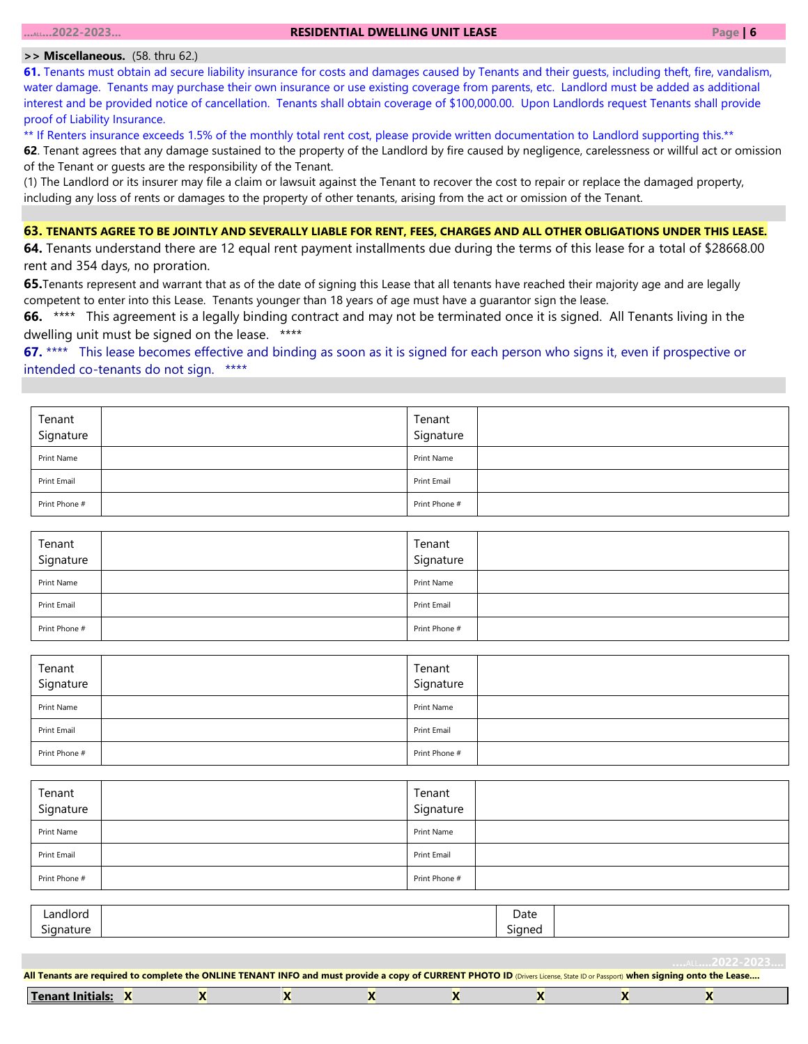#### **>> Miscellaneous.** (58. thru 62.)

**61.** Tenants must obtain ad secure liability insurance for costs and damages caused by Tenants and their guests, including theft, fire, vandalism, water damage. Tenants may purchase their own insurance or use existing coverage from parents, etc. Landlord must be added as additional interest and be provided notice of cancellation. Tenants shall obtain coverage of \$100,000.00. Upon Landlords request Tenants shall provide proof of Liability Insurance.

\*\* If Renters insurance exceeds 1.5% of the monthly total rent cost, please provide written documentation to Landlord supporting this.\*\*

**62**. Tenant agrees that any damage sustained to the property of the Landlord by fire caused by negligence, carelessness or willful act or omission of the Tenant or guests are the responsibility of the Tenant.

(1) The Landlord or its insurer may file a claim or lawsuit against the Tenant to recover the cost to repair or replace the damaged property, including any loss of rents or damages to the property of other tenants, arising from the act or omission of the Tenant.

# **63. TENANTS AGREE TO BE JOINTLY AND SEVERALLY LIABLE FOR RENT, FEES, CHARGES AND ALL OTHER OBLIGATIONS UNDER THIS LEASE.**

**64.** Tenants understand there are 12 equal rent payment installments due during the terms of this lease for a total of \$28668.00 rent and 354 days, no proration.

**65.**Tenants represent and warrant that as of the date of signing this Lease that all tenants have reached their majority age and are legally competent to enter into this Lease. Tenants younger than 18 years of age must have a guarantor sign the lease.

**66.** \*\*\*\* This agreement is a legally binding contract and may not be terminated once it is signed. All Tenants living in the dwelling unit must be signed on the lease. \*\*\*\*

**67.** \*\*\*\* This lease becomes effective and binding as soon as it is signed for each person who signs it, even if prospective or intended co-tenants do not sign. \*\*\*\*

| Tenant<br>Signature | Tenant<br>Signature |  |
|---------------------|---------------------|--|
| Print Name          | Print Name          |  |
| Print Email         | Print Email         |  |
| Print Phone #       | Print Phone #       |  |

| Tenant<br>Signature | Tenant<br>Signature |  |
|---------------------|---------------------|--|
| Print Name          | Print Name          |  |
| Print Email         | Print Email         |  |
| Print Phone #       | Print Phone #       |  |

| Tenant<br>Signature | Tenant<br>Signature |  |
|---------------------|---------------------|--|
| Print Name          | Print Name          |  |
| Print Email         | Print Email         |  |
| Print Phone #       | Print Phone #       |  |

| Tenant<br>Signature | Tenant<br>Signature |  |
|---------------------|---------------------|--|
| Print Name          | Print Name          |  |
| Print Email         | Print Email         |  |
| Print Phone #       | Print Phone #       |  |

| Landlord                     | Date             |  |
|------------------------------|------------------|--|
| -<br>'anature<br><b>Sidr</b> | $\sim$<br>Signed |  |
|                              |                  |  |

| Tenant<br>`Initiai. |  |  |  |  |
|---------------------|--|--|--|--|
|                     |  |  |  |  |